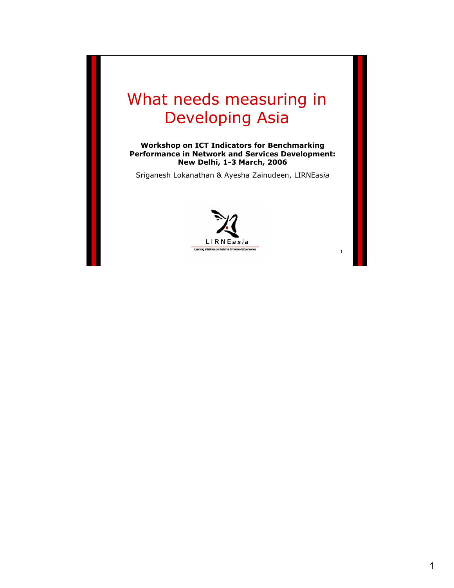# What needs measuring in Developing Asia

**Workshop on ICT Indicators for Benchmarking Performance in Network and Services Development: New Delhi, 1-3 March, 2006**

Sriganesh Lokanathan & Ayesha Zainudeen, LIRNE*asia*

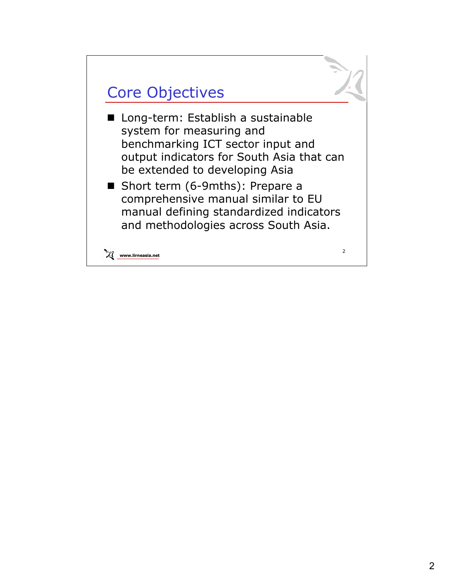

- Long-term: Establish a sustainable system for measuring and benchmarking ICT sector input and output indicators for South Asia that can be extended to developing Asia
- Short term (6-9mths): Prepare a comprehensive manual similar to EU manual defining standardized indicators and methodologies across South Asia.

**www.lirneasia.net**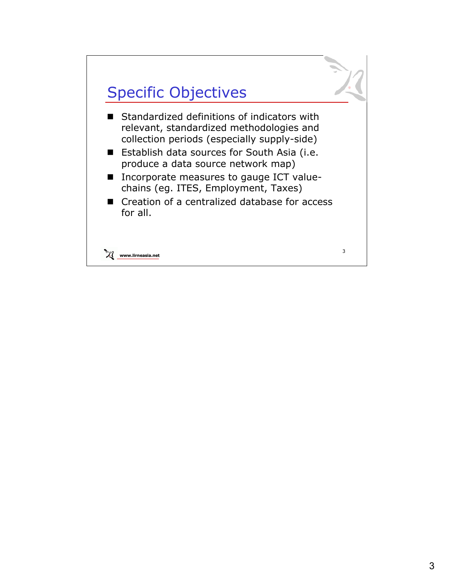

- Standardized definitions of indicators with relevant, standardized methodologies and collection periods (especially supply-side)
- Establish data sources for South Asia (i.e. produce a data source network map)
- Incorporate measures to gauge ICT valuechains (eg. ITES, Employment, Taxes)
- Creation of a centralized database for access for all.

**www.lirneasia.net**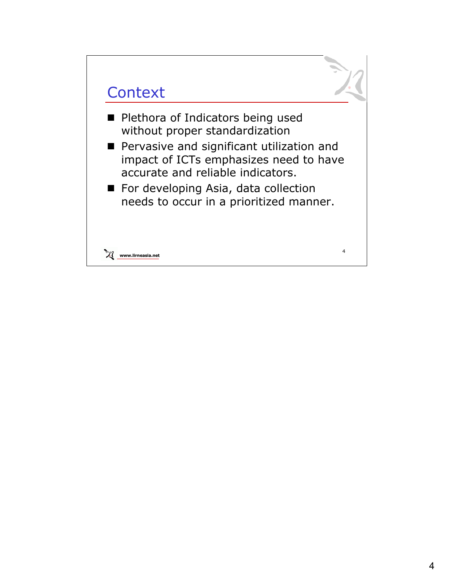## **Context**

- **Plethora of Indicators being used** without proper standardization
- **Pervasive and significant utilization and** impact of ICTs emphasizes need to have accurate and reliable indicators.
- For developing Asia, data collection needs to occur in a prioritized manner.



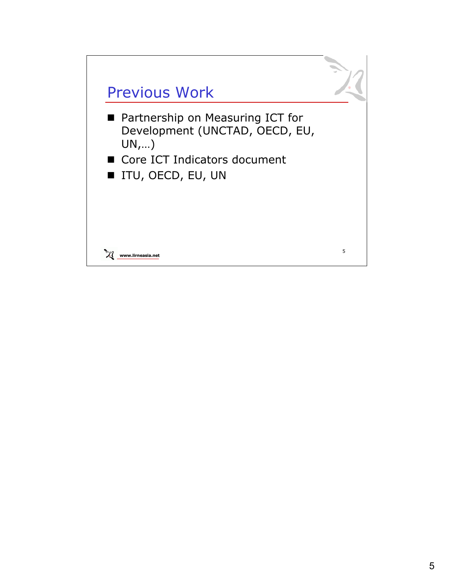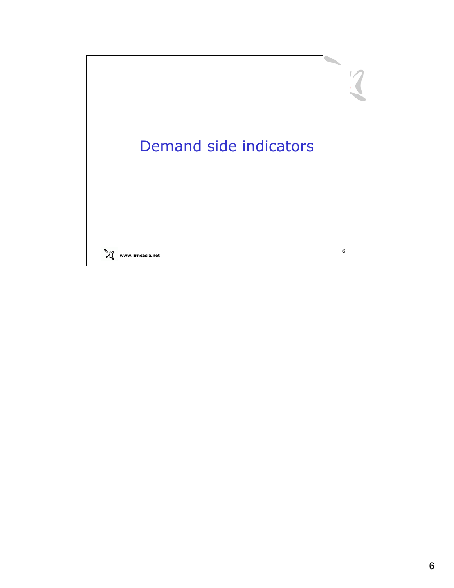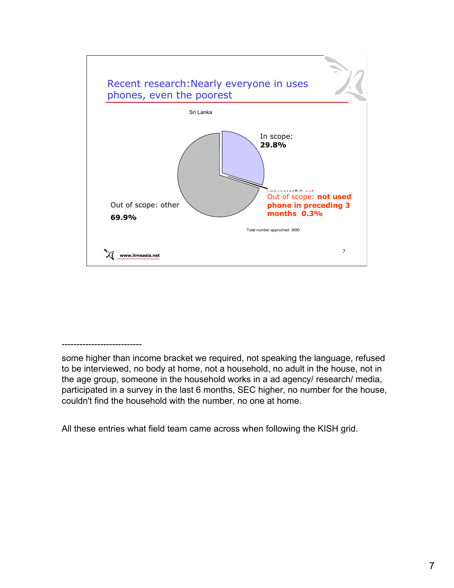

#### ---------------------------

some higher than income bracket we required, not speaking the language, refused to be interviewed, no body at home, not a household, no adult in the house, not in the age group, someone in the household works in a ad agency/ research/ media, participated in a survey in the last 6 months, SEC higher, no number for the house, couldn't find the household with the number, no one at home.

All these entries what field team came across when following the KISH grid.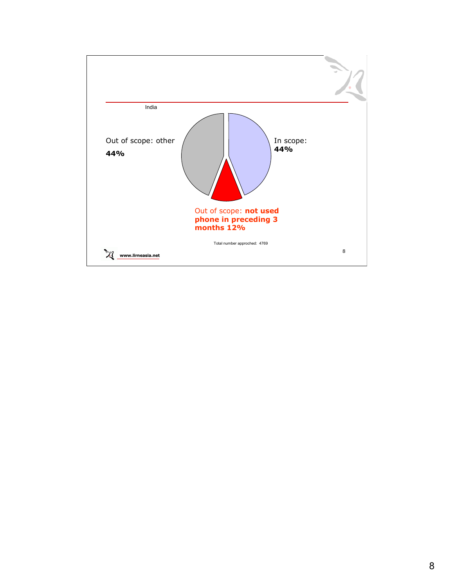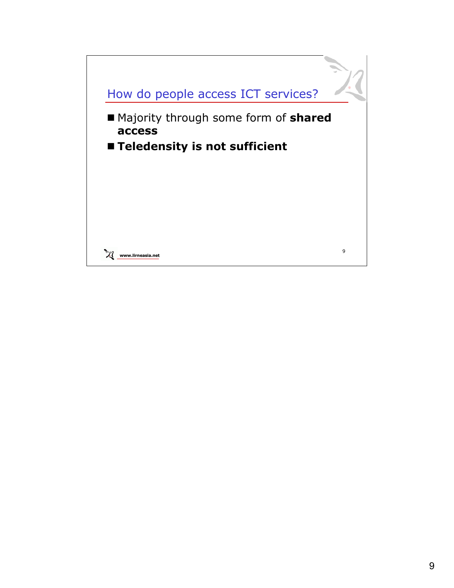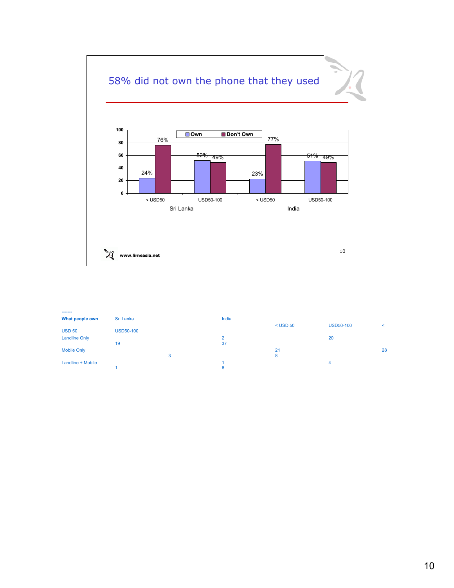

| -------              |                  |   |          |            |                  |                          |
|----------------------|------------------|---|----------|------------|------------------|--------------------------|
| What people own      | Sri Lanka        |   | India    |            |                  |                          |
|                      |                  |   |          | $<$ USD 50 | <b>USD50-100</b> | $\overline{\phantom{a}}$ |
| <b>USD 50</b>        | <b>USD50-100</b> |   |          |            |                  |                          |
| <b>Landline Only</b> |                  |   | $\Omega$ |            | 20               |                          |
|                      | 19               |   | 37       |            |                  |                          |
| <b>Mobile Only</b>   |                  |   |          | 21         |                  | 28                       |
|                      |                  | 3 |          | 8          |                  |                          |
| Landline + Mobile    |                  |   |          |            | 4                |                          |
|                      |                  |   | 6        |            |                  |                          |
|                      |                  |   |          |            |                  |                          |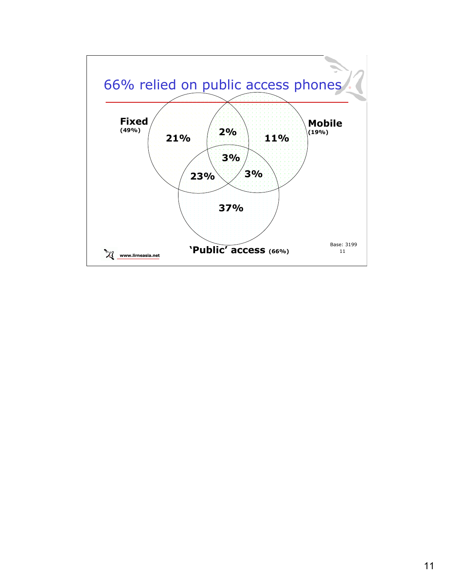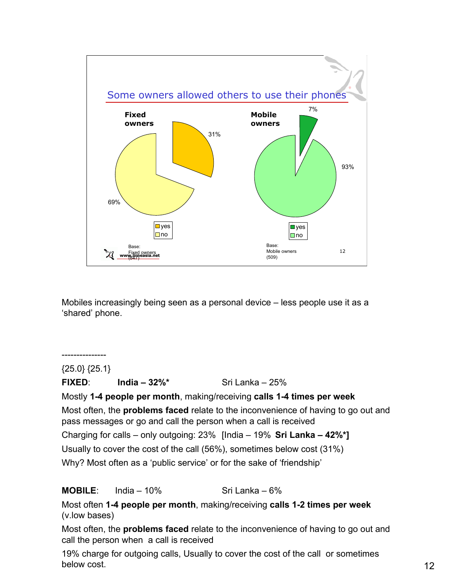

Mobiles increasingly being seen as a personal device – less people use it as a 'shared' phone.

{25.0} {25.1} **FIXED**: **India – 32%\*** Sri Lanka – 25% Mostly **1-4 people per month**, making/receiving **calls 1-4 times per week** Most often, the **problems faced** relate to the inconvenience of having to go out and pass messages or go and call the person when a call is received Charging for calls – only outgoing: 23% [India – 19% **Sri Lanka – 42%\*]** Usually to cover the cost of the call (56%), sometimes below cost (31%) Why? Most often as a 'public service' or for the sake of 'friendship'

**MOBILE**: India – 10% Sri Lanka – 6%

---------------

Most often **1-4 people per month**, making/receiving **calls 1-2 times per week**  (v.low bases)

Most often, the **problems faced** relate to the inconvenience of having to go out and call the person when a call is received

19% charge for outgoing calls, Usually to cover the cost of the call or sometimes below cost.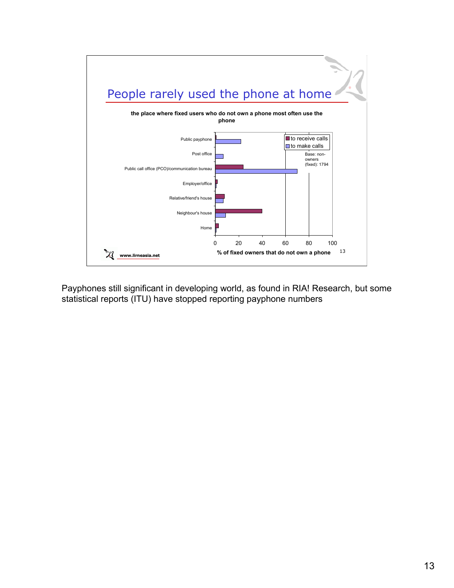

Payphones still significant in developing world, as found in RIA! Research, but some statistical reports (ITU) have stopped reporting payphone numbers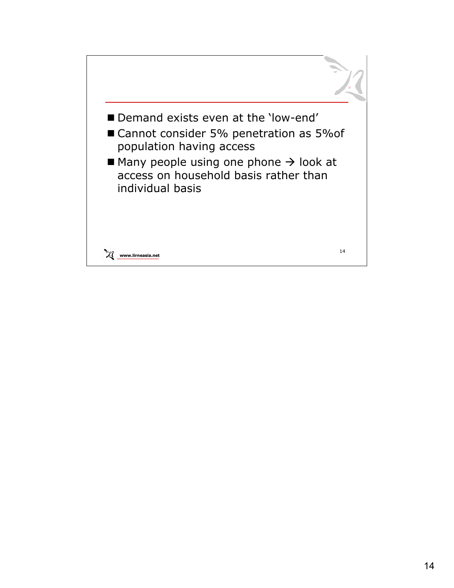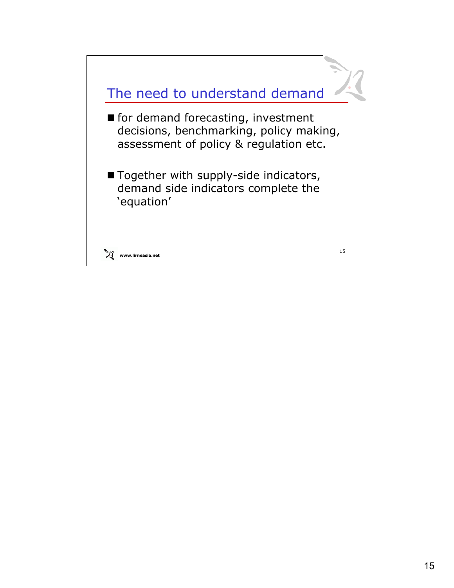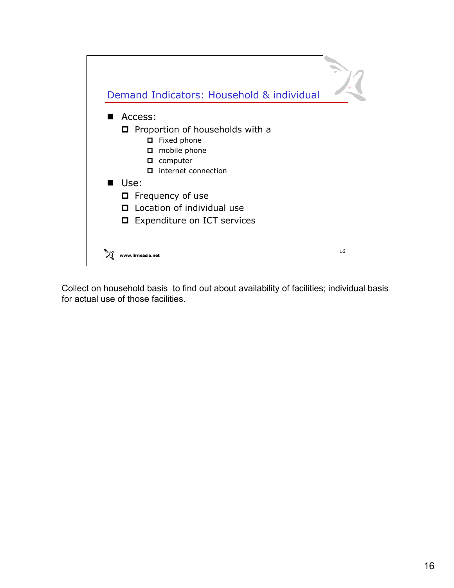

Collect on household basis to find out about availability of facilities; individual basis for actual use of those facilities.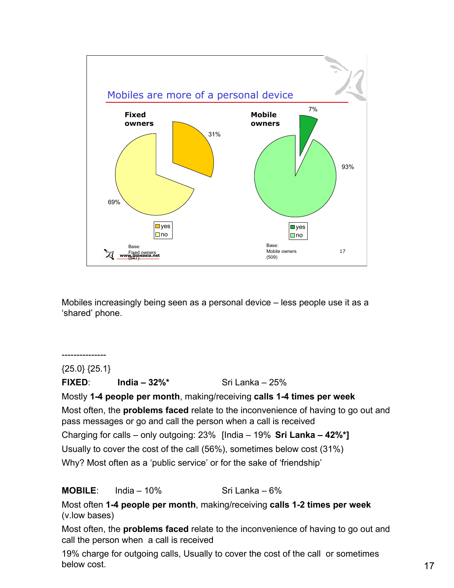

Mobiles increasingly being seen as a personal device – less people use it as a 'shared' phone.

{25.0} {25.1} **FIXED**: **India – 32%\*** Sri Lanka – 25% Mostly **1-4 people per month**, making/receiving **calls 1-4 times per week** Most often, the **problems faced** relate to the inconvenience of having to go out and pass messages or go and call the person when a call is received Charging for calls – only outgoing: 23% [India – 19% **Sri Lanka – 42%\*]** Usually to cover the cost of the call (56%), sometimes below cost (31%) Why? Most often as a 'public service' or for the sake of 'friendship'

**MOBILE**: India – 10% Sri Lanka – 6%

---------------

Most often **1-4 people per month**, making/receiving **calls 1-2 times per week**  (v.low bases)

Most often, the **problems faced** relate to the inconvenience of having to go out and call the person when a call is received

19% charge for outgoing calls, Usually to cover the cost of the call or sometimes below cost.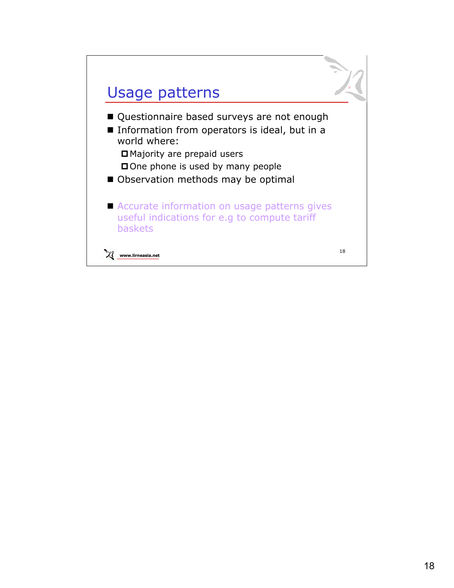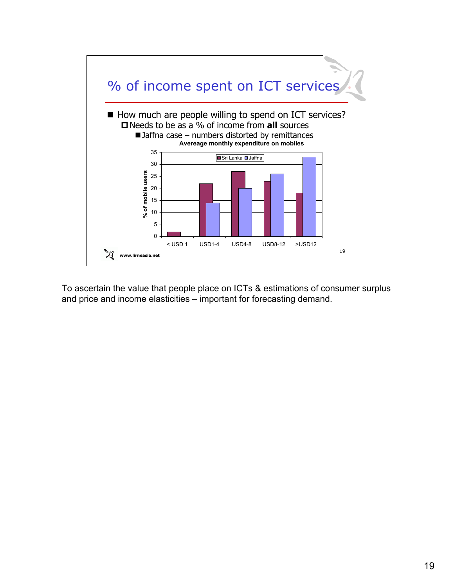

To ascertain the value that people place on ICTs & estimations of consumer surplus and price and income elasticities – important for forecasting demand.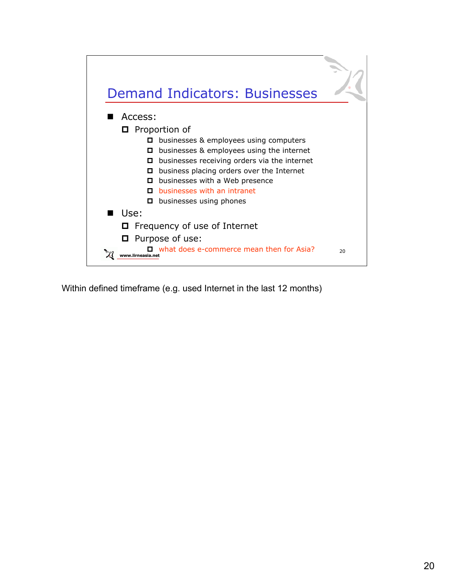

Within defined timeframe (e.g. used Internet in the last 12 months)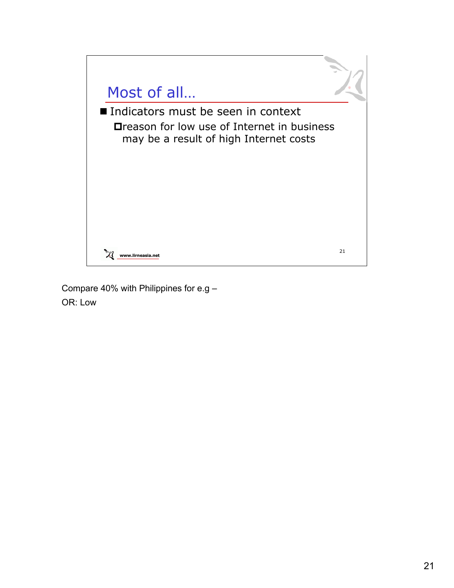

Compare 40% with Philippines for e.g – OR: Low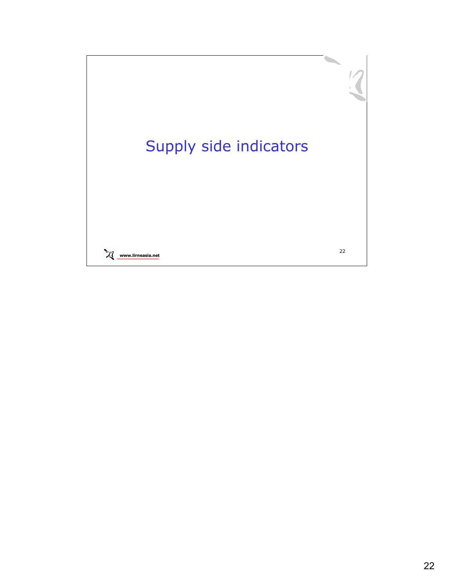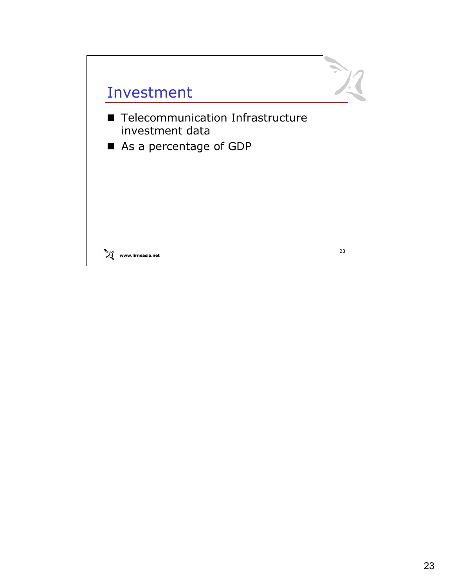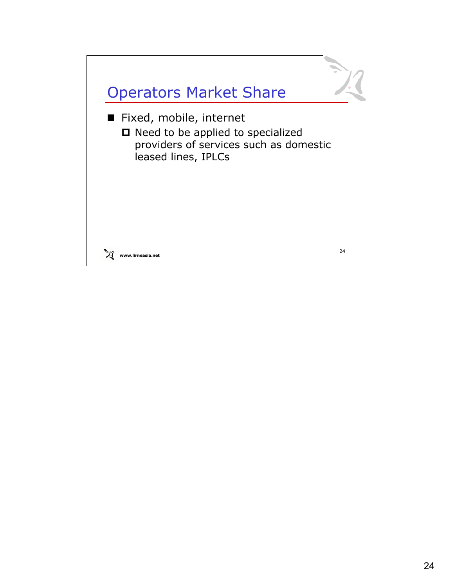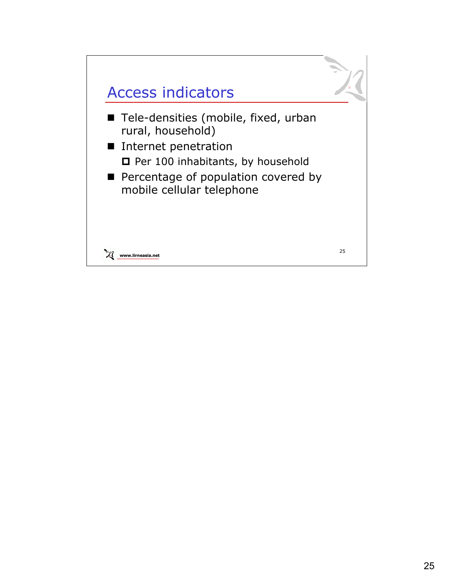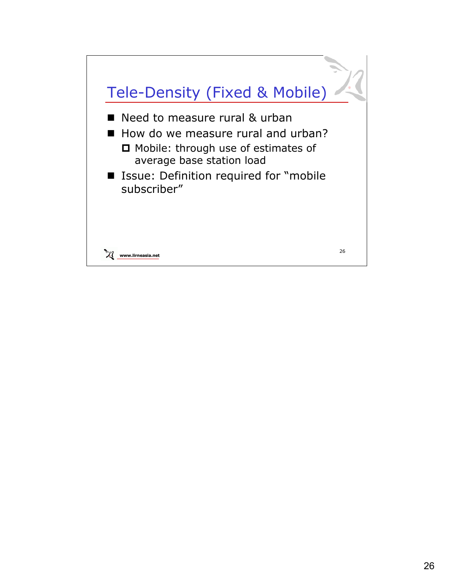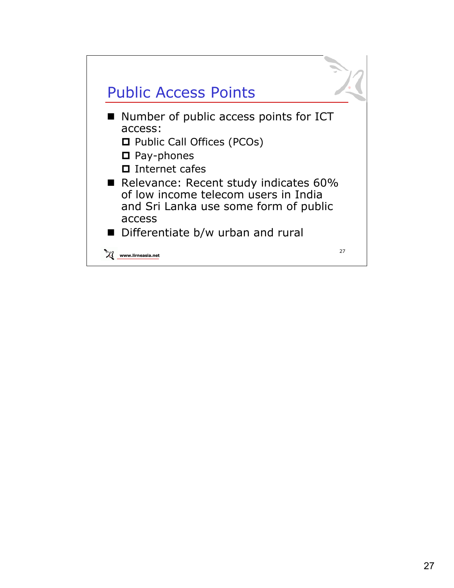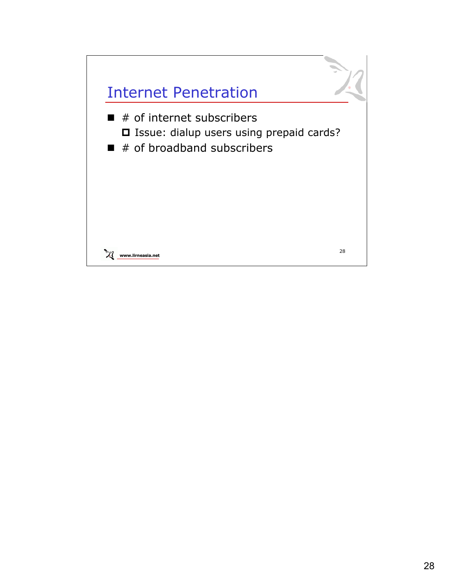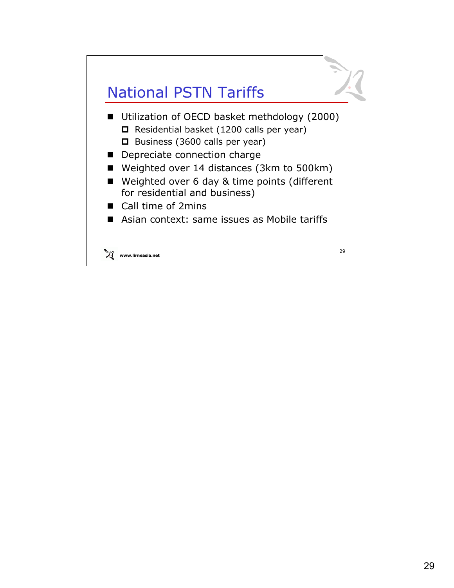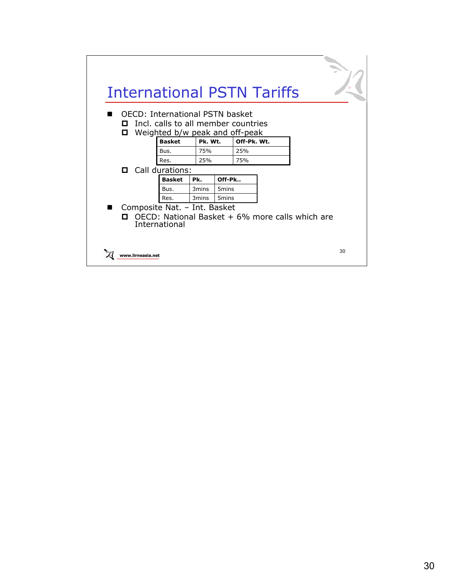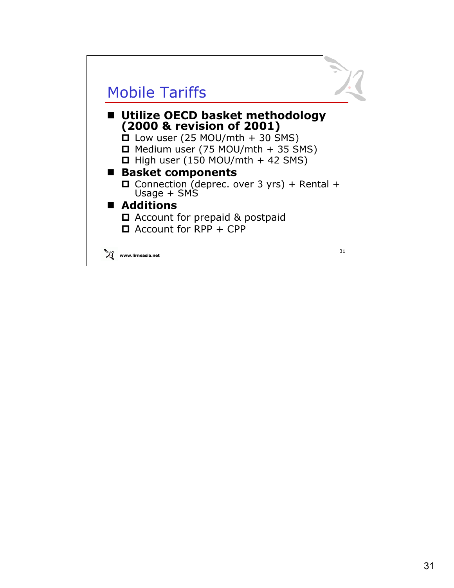#### Mobile Tariffs

#### **Utilize OECD basket methodology (2000 & revision of 2001)**

 $\Box$  Low user (25 MOU/mth + 30 SMS)

- $\Box$  Medium user (75 MOU/mth + 35 SMS)
- $\Box$  High user (150 MOU/mth + 42 SMS)

#### **Basket components**

 $\Box$  Connection (deprec. over 3 yrs) + Rental + Usage + SMS

#### ■ **Additions**

- □ Account for prepaid & postpaid
- $\Box$  Account for RPP + CPP

**www.lirneasia.net**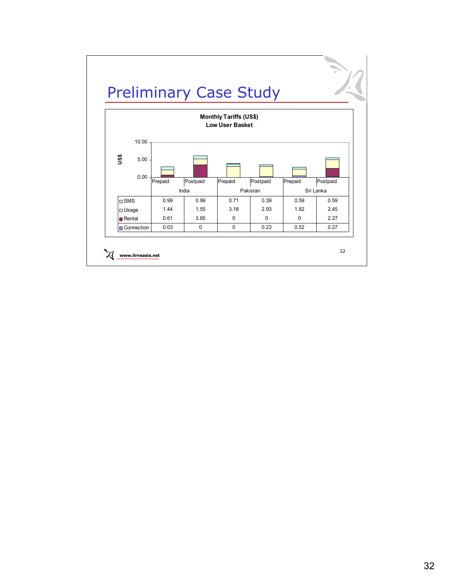

**www.lirneasia.net**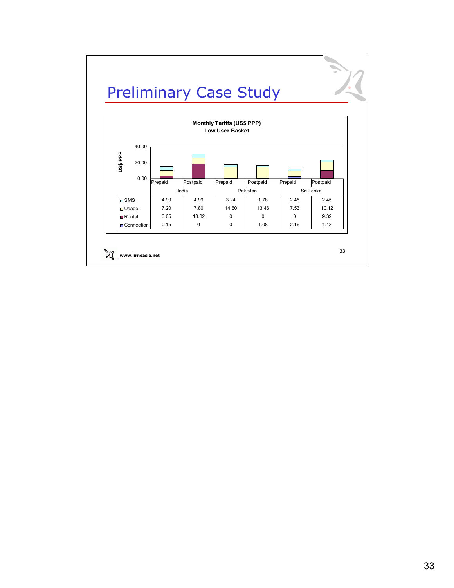

**www.lirneasia.net**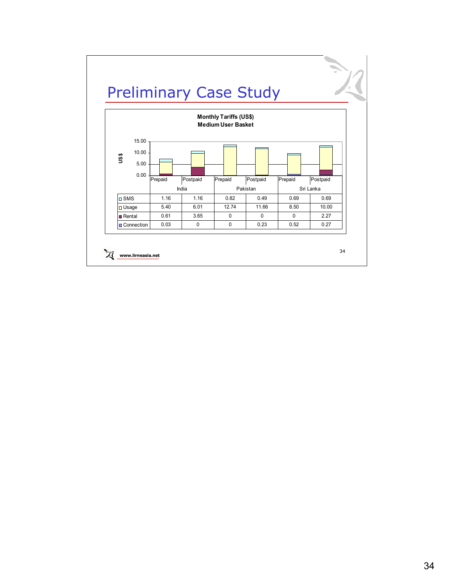

**www.lirneasia.net**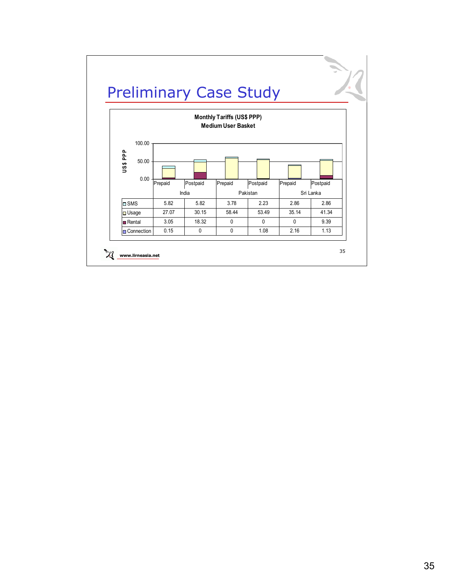

**www.lirneasia.net**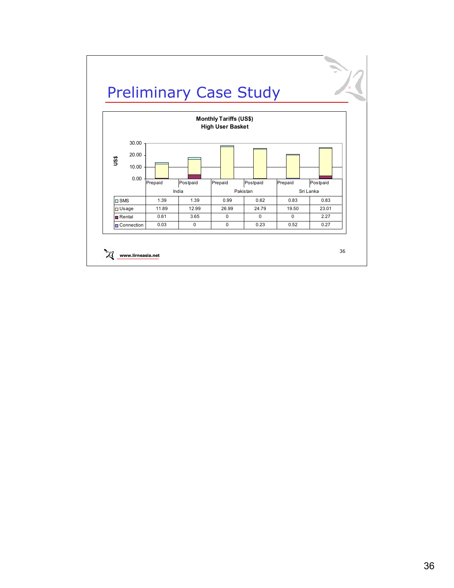

**www.lirneasia.net**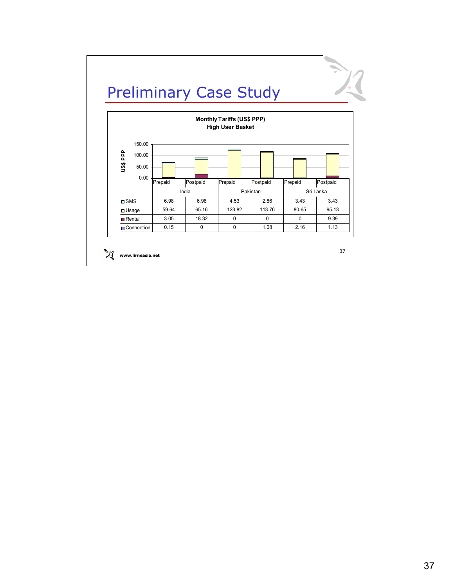

**www.lirneasia.net**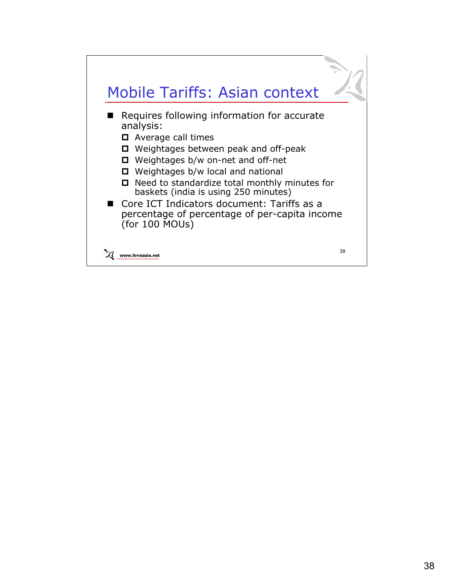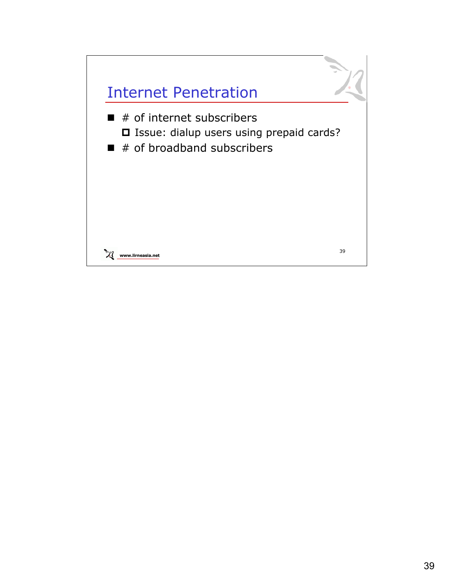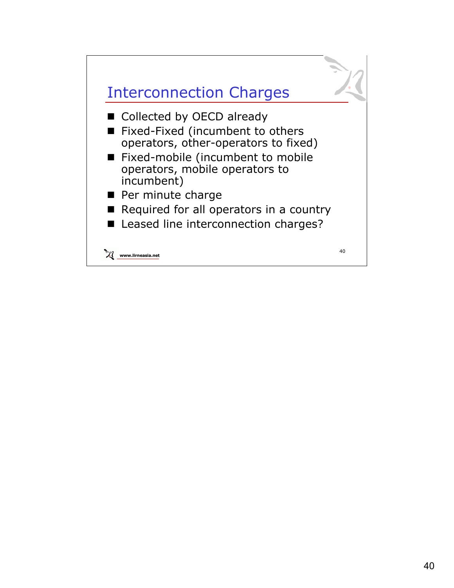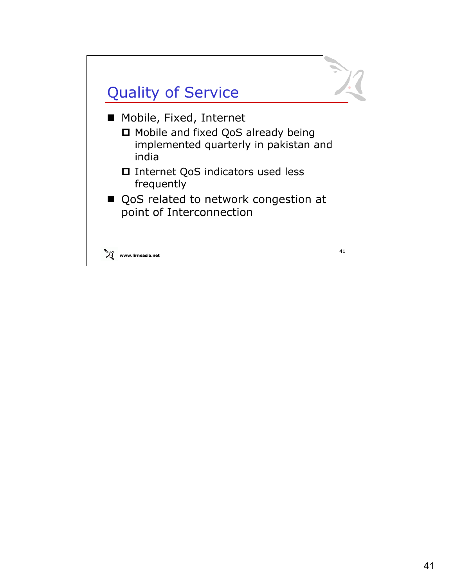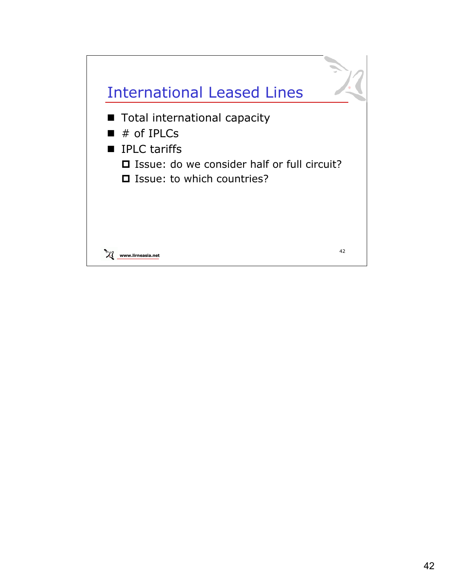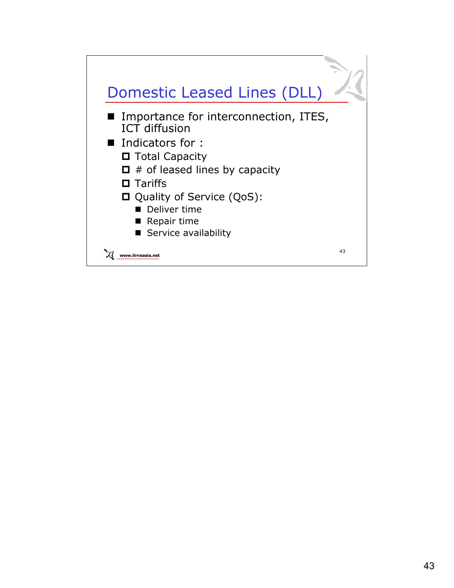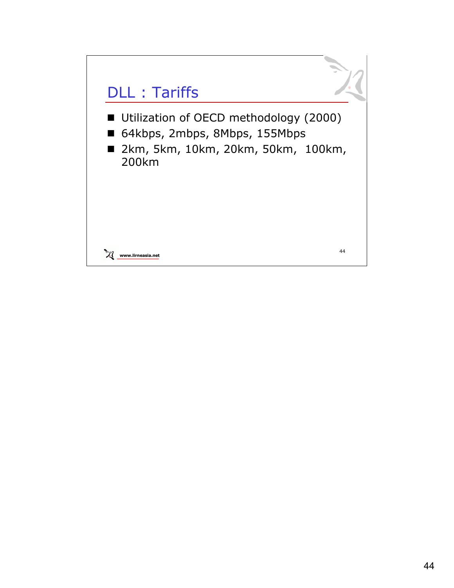# DLL : Tariffs

- Utilization of OECD methodology (2000)
- 64kbps, 2mbps, 8Mbps, 155Mbps
- 2km, 5km, 10km, 20km, 50km, 100km, 200km

**www.lirneasia.net**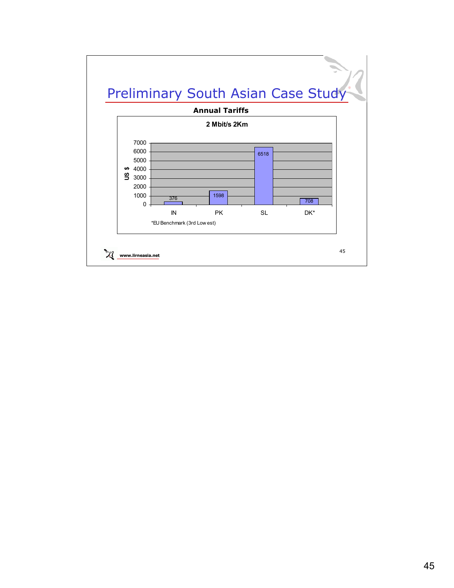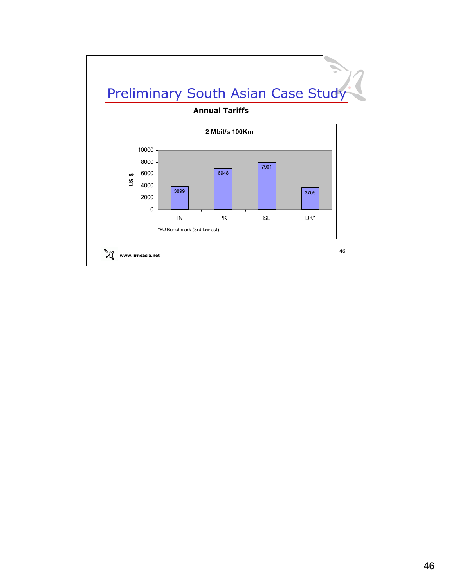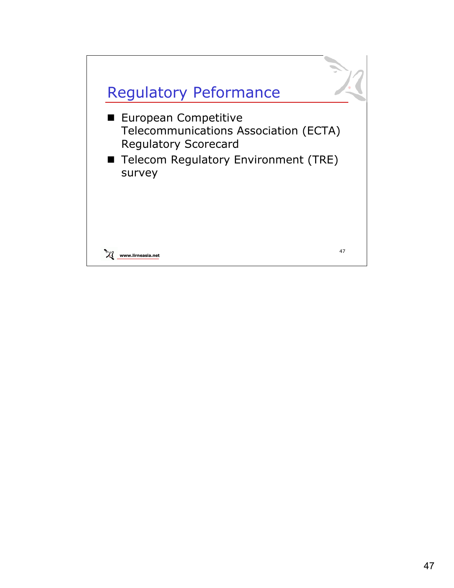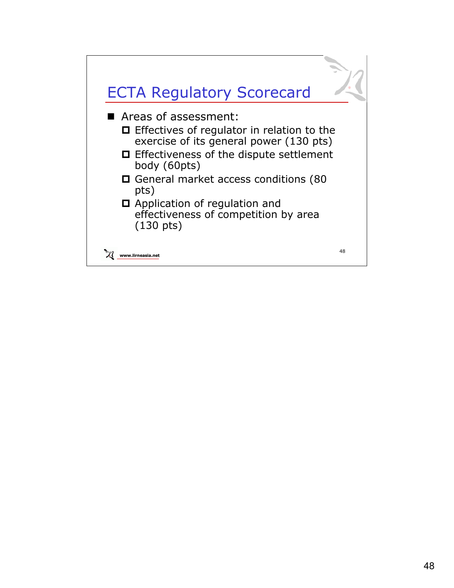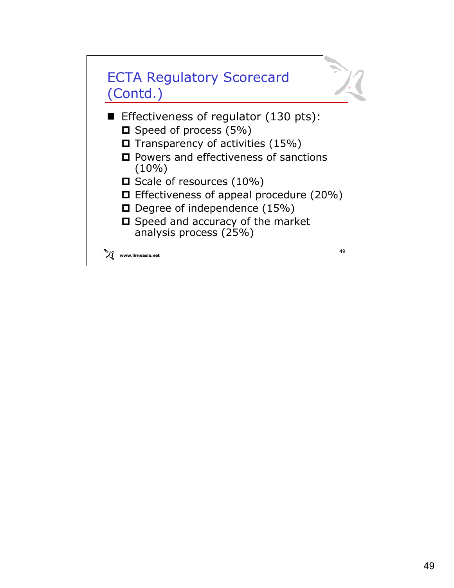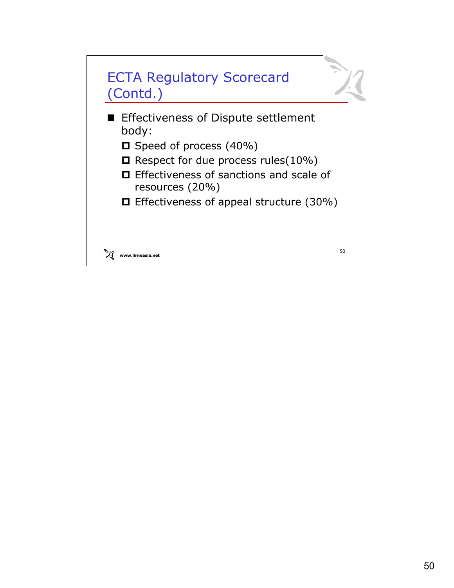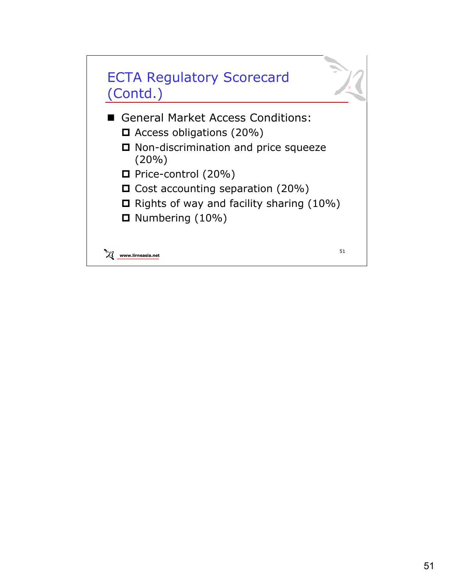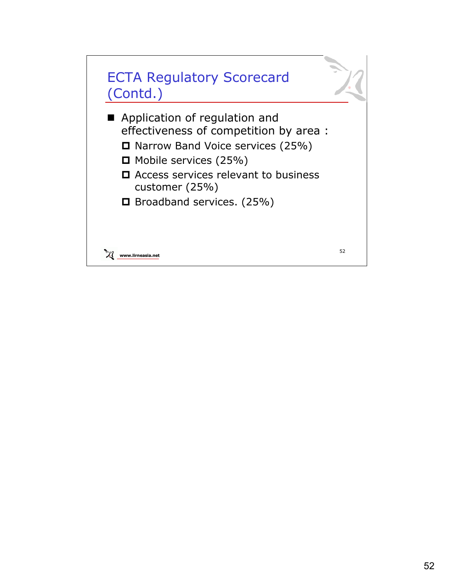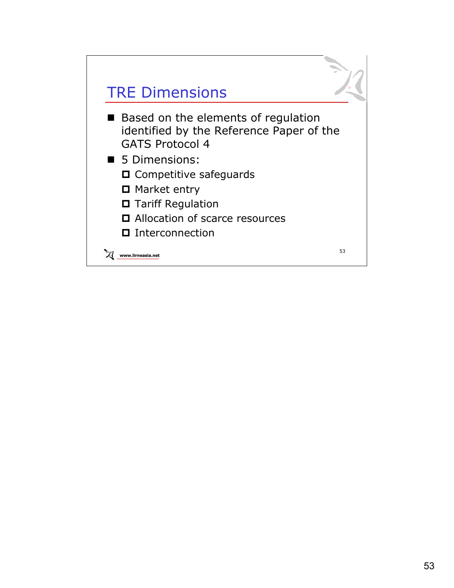

- Based on the elements of regulation identified by the Reference Paper of the GATS Protocol 4
- **5 Dimensions:** 
	- $\Box$  Competitive safeguards
	- Market entry
	- □ Tariff Regulation
	- Allocation of scarce resources
	- □ Interconnection

**www.lirneasia.net**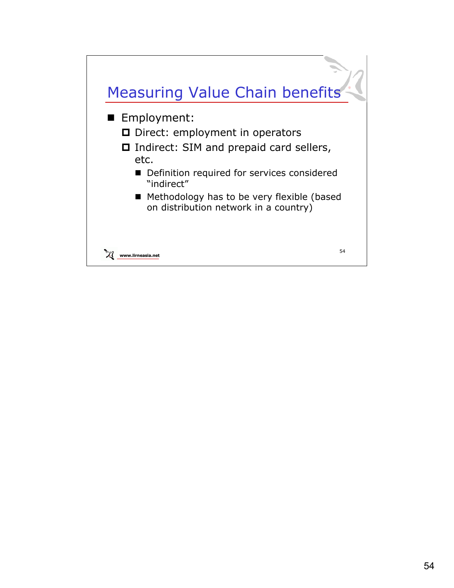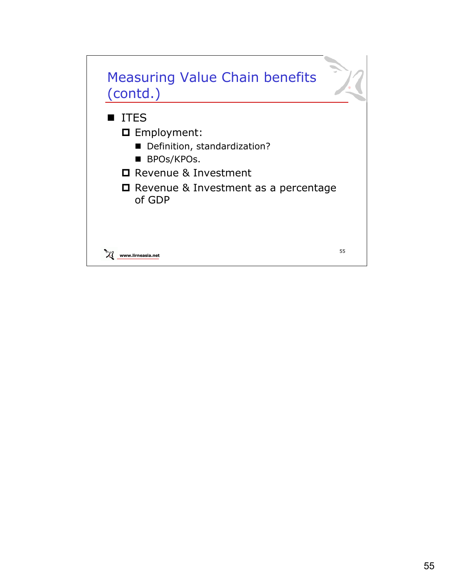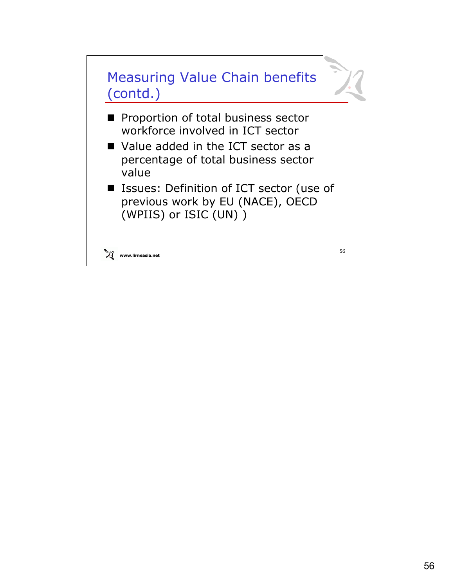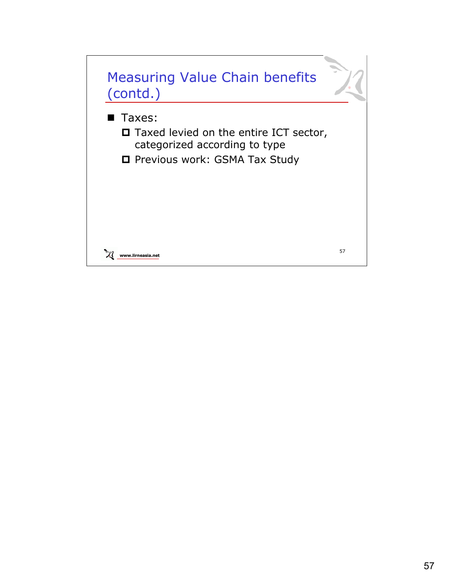